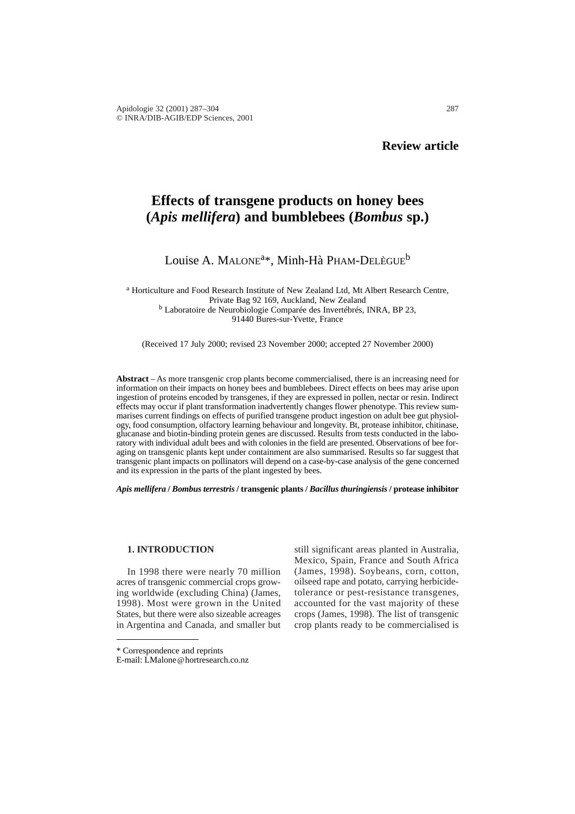# **Effects of transgene products on honey bees (***Apis mellifera***) and bumblebees (***Bombus* **sp.)**

## Louise A. MALONE<sup>a\*</sup>, Minh-Hà PHAM-DELÈGUE<sup>b</sup>

<sup>a</sup> Horticulture and Food Research Institute of New Zealand Ltd, Mt Albert Research Centre, Private Bag 92 169, Auckland, New Zealand <sup>b</sup> Laboratoire de Neurobiologie Comparée des Invertébrés, INRA, BP 23, 91440 Bures-sur-Yvette, France

(Received 17 July 2000; revised 23 November 2000; accepted 27 November 2000)

**Abstract** – As more transgenic crop plants become commercialised, there is an increasing need for information on their impacts on honey bees and bumblebees. Direct effects on bees may arise upon ingestion of proteins encoded by transgenes, if they are expressed in pollen, nectar or resin. Indirect effects may occur if plant transformation inadvertently changes flower phenotype. This review summarises current findings on effects of purified transgene product ingestion on adult bee gut physiology, food consumption, olfactory learning behaviour and longevity. Bt, protease inhibitor, chitinase, glucanase and biotin-binding protein genes are discussed. Results from tests conducted in the laboratory with individual adult bees and with colonies in the field are presented. Observations of bee foraging on transgenic plants kept under containment are also summarised. Results so far suggest that transgenic plant impacts on pollinators will depend on a case-by-case analysis of the gene concerned and its expression in the parts of the plant ingested by bees.

*Apis mellifera* **/** *Bombus terrestris* **/ transgenic plants /** *Bacillus thuringiensis* **/ protease inhibitor**

#### **1. INTRODUCTION**

In 1998 there were nearly 70 million acres of transgenic commercial crops growing worldwide (excluding China) (James, 1998). Most were grown in the United States, but there were also sizeable acreages in Argentina and Canada, and smaller but

still significant areas planted in Australia, Mexico, Spain, France and South Africa (James, 1998). Soybeans, corn, cotton, oilseed rape and potato, carrying herbicidetolerance or pest-resistance transgenes, accounted for the vast majority of these crops (James, 1998). The list of transgenic crop plants ready to be commercialised is

<sup>\*</sup> Correspondence and reprints

E-mail: LMalone@hortresearch.co.nz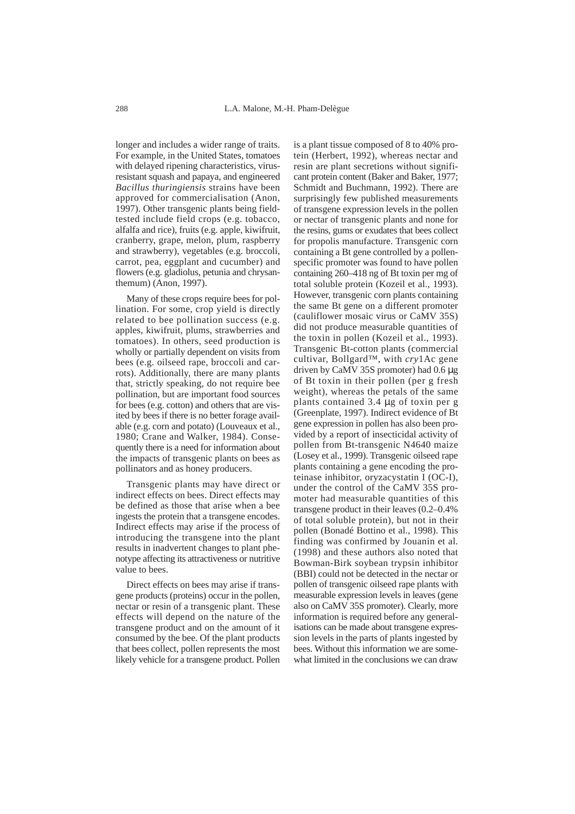longer and includes a wider range of traits. For example, in the United States, tomatoes with delayed ripening characteristics, virusresistant squash and papaya, and engineered *Bacillus thuringiensis* strains have been approved for commercialisation (Anon, 1997). Other transgenic plants being fieldtested include field crops (e.g. tobacco, alfalfa and rice), fruits (e.g. apple, kiwifruit, cranberry, grape, melon, plum, raspberry and strawberry), vegetables (e.g. broccoli, carrot, pea, eggplant and cucumber) and flowers (e.g. gladiolus, petunia and chrysanthemum) (Anon, 1997).

Many of these crops require bees for pollination. For some, crop yield is directly related to bee pollination success (e.g. apples, kiwifruit, plums, strawberries and tomatoes). In others, seed production is wholly or partially dependent on visits from bees (e.g. oilseed rape, broccoli and carrots). Additionally, there are many plants that, strictly speaking, do not require bee pollination, but are important food sources for bees (e.g. cotton) and others that are visited by bees if there is no better forage available (e.g. corn and potato) (Louveaux et al., 1980; Crane and Walker, 1984). Consequently there is a need for information about the impacts of transgenic plants on bees as pollinators and as honey producers.

Transgenic plants may have direct or indirect effects on bees. Direct effects may be defined as those that arise when a bee ingests the protein that a transgene encodes. Indirect effects may arise if the process of introducing the transgene into the plant results in inadvertent changes to plant phenotype affecting its attractiveness or nutritive value to bees.

Direct effects on bees may arise if transgene products (proteins) occur in the pollen, nectar or resin of a transgenic plant. These effects will depend on the nature of the transgene product and on the amount of it consumed by the bee. Of the plant products that bees collect, pollen represents the most likely vehicle for a transgene product. Pollen

is a plant tissue composed of 8 to 40% protein (Herbert, 1992), whereas nectar and resin are plant secretions without significant protein content (Baker and Baker, 1977; Schmidt and Buchmann, 1992). There are surprisingly few published measurements of transgene expression levels in the pollen or nectar of transgenic plants and none for the resins, gums or exudates that bees collect for propolis manufacture. Transgenic corn containing a Bt gene controlled by a pollenspecific promoter was found to have pollen containing 260–418 ng of Bt toxin per mg of total soluble protein (Kozeil et al., 1993). However, transgenic corn plants containing the same Bt gene on a different promoter (cauliflower mosaic virus or CaMV 35S) did not produce measurable quantities of the toxin in pollen (Kozeil et al., 1993). Transgenic Bt-cotton plants (commercial cultivar, Bollgard™, with *cry*1Ac gene driven by CaMV 35S promoter) had 0.6 µg of Bt toxin in their pollen (per g fresh weight), whereas the petals of the same plants contained 3.4 µg of toxin per g (Greenplate, 1997). Indirect evidence of Bt gene expression in pollen has also been provided by a report of insecticidal activity of pollen from Bt-transgenic N4640 maize (Losey et al., 1999). Transgenic oilseed rape plants containing a gene encoding the proteinase inhibitor, oryzacystatin I (OC-I), under the control of the CaMV 35S promoter had measurable quantities of this transgene product in their leaves (0.2–0.4% of total soluble protein), but not in their pollen (Bonadé Bottino et al., 1998). This finding was confirmed by Jouanin et al*.* (1998) and these authors also noted that Bowman-Birk soybean trypsin inhibitor (BBI) could not be detected in the nectar or pollen of transgenic oilseed rape plants with measurable expression levels in leaves (gene also on CaMV 35S promoter). Clearly, more information is required before any generalisations can be made about transgene expression levels in the parts of plants ingested by bees. Without this information we are somewhat limited in the conclusions we can draw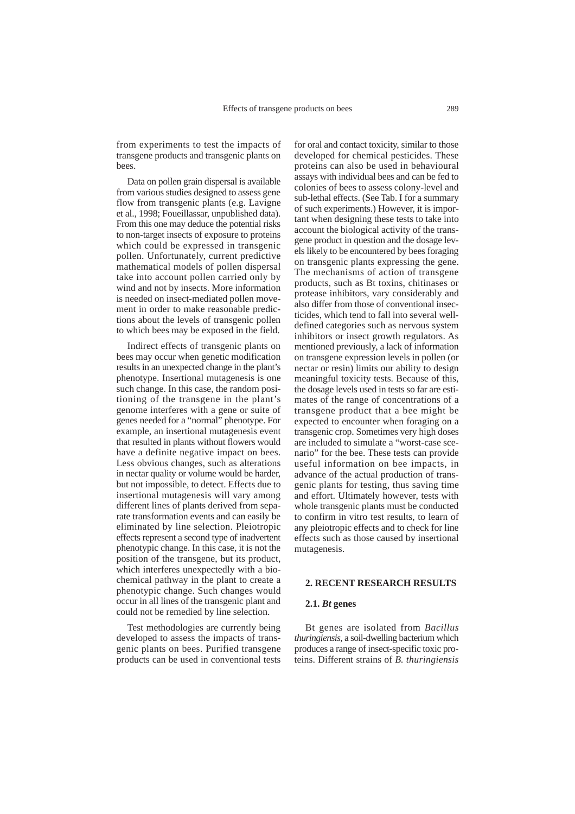from experiments to test the impacts of transgene products and transgenic plants on bees.

Data on pollen grain dispersal is available from various studies designed to assess gene flow from transgenic plants (e.g. Lavigne et al., 1998; Foueillassar, unpublished data). From this one may deduce the potential risks to non-target insects of exposure to proteins which could be expressed in transgenic pollen. Unfortunately, current predictive mathematical models of pollen dispersal take into account pollen carried only by wind and not by insects. More information is needed on insect-mediated pollen movement in order to make reasonable predictions about the levels of transgenic pollen to which bees may be exposed in the field.

Indirect effects of transgenic plants on bees may occur when genetic modification results in an unexpected change in the plant's phenotype. Insertional mutagenesis is one such change. In this case, the random positioning of the transgene in the plant's genome interferes with a gene or suite of genes needed for a "normal" phenotype. For example, an insertional mutagenesis event that resulted in plants without flowers would have a definite negative impact on bees. Less obvious changes, such as alterations in nectar quality or volume would be harder, but not impossible, to detect. Effects due to insertional mutagenesis will vary among different lines of plants derived from separate transformation events and can easily be eliminated by line selection. Pleiotropic effects represent a second type of inadvertent phenotypic change. In this case, it is not the position of the transgene, but its product, which interferes unexpectedly with a biochemical pathway in the plant to create a phenotypic change. Such changes would occur in all lines of the transgenic plant and could not be remedied by line selection.

Test methodologies are currently being developed to assess the impacts of transgenic plants on bees. Purified transgene products can be used in conventional tests for oral and contact toxicity, similar to those developed for chemical pesticides. These proteins can also be used in behavioural assays with individual bees and can be fed to colonies of bees to assess colony-level and sub-lethal effects. (See Tab. I for a summary of such experiments.) However, it is important when designing these tests to take into account the biological activity of the transgene product in question and the dosage levels likely to be encountered by bees foraging on transgenic plants expressing the gene. The mechanisms of action of transgene products, such as Bt toxins, chitinases or protease inhibitors, vary considerably and also differ from those of conventional insecticides, which tend to fall into several welldefined categories such as nervous system inhibitors or insect growth regulators. As mentioned previously, a lack of information on transgene expression levels in pollen (or nectar or resin) limits our ability to design meaningful toxicity tests. Because of this, the dosage levels used in tests so far are estimates of the range of concentrations of a transgene product that a bee might be expected to encounter when foraging on a transgenic crop. Sometimes very high doses are included to simulate a "worst-case scenario" for the bee. These tests can provide useful information on bee impacts, in advance of the actual production of transgenic plants for testing, thus saving time and effort. Ultimately however, tests with whole transgenic plants must be conducted to confirm in vitro test results, to learn of any pleiotropic effects and to check for line effects such as those caused by insertional mutagenesis.

#### **2. RECENT RESEARCH RESULTS**

#### **2.1.** *Bt* **genes**

Bt genes are isolated from *Bacillus thuringiensis*, a soil-dwelling bacterium which produces a range of insect-specific toxic proteins. Different strains of *B. thuringiensis*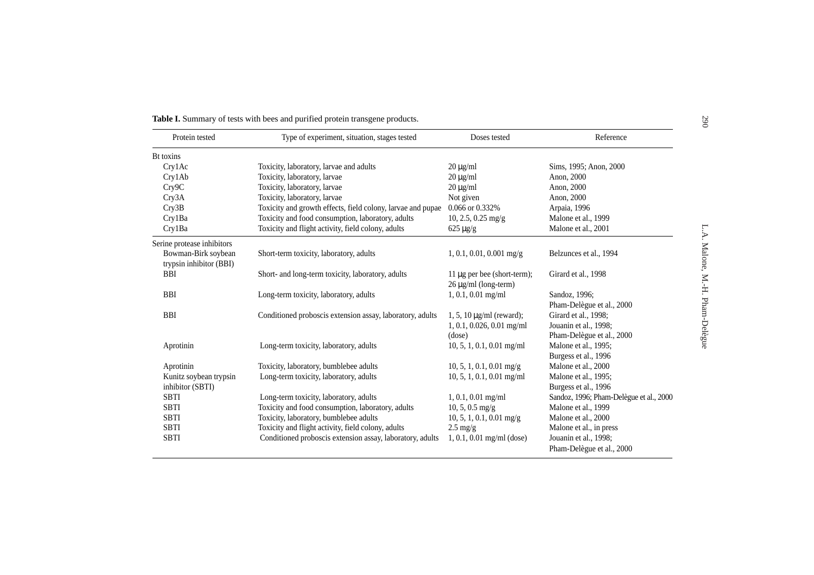| Protein tested             | Type of experiment, situation, stages tested                | Doses tested                     | Reference                               |
|----------------------------|-------------------------------------------------------------|----------------------------------|-----------------------------------------|
| Bt toxins                  |                                                             |                                  |                                         |
| Crv1Ac                     | Toxicity, laboratory, larvae and adults                     | $20 \mu g/ml$                    | Sims, 1995; Anon, 2000                  |
| Cry1Ab                     | Toxicity, laboratory, larvae                                | $20 \mu g/ml$                    | Anon, 2000                              |
| Cry9C                      | Toxicity, laboratory, larvae                                | $20 \mu g/ml$                    | Anon, 2000                              |
| Cry3A                      | Toxicity, laboratory, larvae                                | Not given                        | Anon, 2000                              |
| Cry3B                      | Toxicity and growth effects, field colony, larvae and pupae | 0.066 or 0.332%                  | Arpaia, 1996                            |
| Cry1Ba                     | Toxicity and food consumption, laboratory, adults           | $10, 2.5, 0.25$ mg/g             | Malone et al., 1999                     |
| Cry1Ba                     | Toxicity and flight activity, field colony, adults          | $625 \mu g/g$                    | Malone et al., 2001                     |
| Serine protease inhibitors |                                                             |                                  |                                         |
| Bowman-Birk soybean        | Short-term toxicity, laboratory, adults                     | $1, 0.1, 0.01, 0.001$ mg/g       | Belzunces et al., 1994                  |
| trypsin inhibitor (BBI)    |                                                             |                                  |                                         |
| <b>BBI</b>                 | Short- and long-term toxicity, laboratory, adults           | 11 $\mu$ g per bee (short-term); | Girard et al., 1998                     |
|                            |                                                             | $26 \mu g/ml$ (long-term)        |                                         |
| <b>BBI</b>                 | Long-term toxicity, laboratory, adults                      | $1, 0.1, 0.01$ mg/ml             | Sandoz, 1996;                           |
|                            |                                                             |                                  | Pham-Delègue et al., 2000               |
| <b>BBI</b>                 | Conditioned proboscis extension assay, laboratory, adults   | 1, 5, 10 $\mu$ g/ml (reward);    | Girard et al., 1998;                    |
|                            |                                                             | $1, 0.1, 0.026, 0.01$ mg/ml      | Jouanin et al., 1998;                   |
|                            |                                                             | (dose)                           | Pham-Delègue et al., 2000               |
| Aprotinin                  | Long-term toxicity, laboratory, adults                      | $10, 5, 1, 0.1, 0.01$ mg/ml      | Malone et al., 1995;                    |
|                            |                                                             |                                  | Burgess et al., 1996                    |
| Aprotinin                  | Toxicity, laboratory, bumblebee adults                      | $10, 5, 1, 0.1, 0.01$ mg/g       | Malone et al., 2000                     |
| Kunitz soybean trypsin     | Long-term toxicity, laboratory, adults                      | $10, 5, 1, 0.1, 0.01$ mg/ml      | Malone et al., 1995;                    |
| inhibitor (SBTI)           |                                                             |                                  | Burgess et al., 1996                    |
| SBTI                       | Long-term toxicity, laboratory, adults                      | $1, 0.1, 0.01$ mg/ml             | Sandoz, 1996; Pham-Delègue et al., 2000 |
| SBTI                       | Toxicity and food consumption, laboratory, adults           | $10, 5, 0.5$ mg/g                | Malone et al., 1999                     |
| <b>SBTI</b>                | Toxicity, laboratory, bumblebee adults                      | $10, 5, 1, 0.1, 0.01$ mg/g       | Malone et al., 2000                     |
| <b>SBTI</b>                | Toxicity and flight activity, field colony, adults          | $2.5 \text{ mg/g}$               | Malone et al., in press                 |
| <b>SBTI</b>                | Conditioned proboscis extension assay, laboratory, adults   | $1, 0.1, 0.01$ mg/ml (dose)      | Jouanin et al., 1998;                   |
|                            |                                                             |                                  | Pham-Delègue et al., 2000               |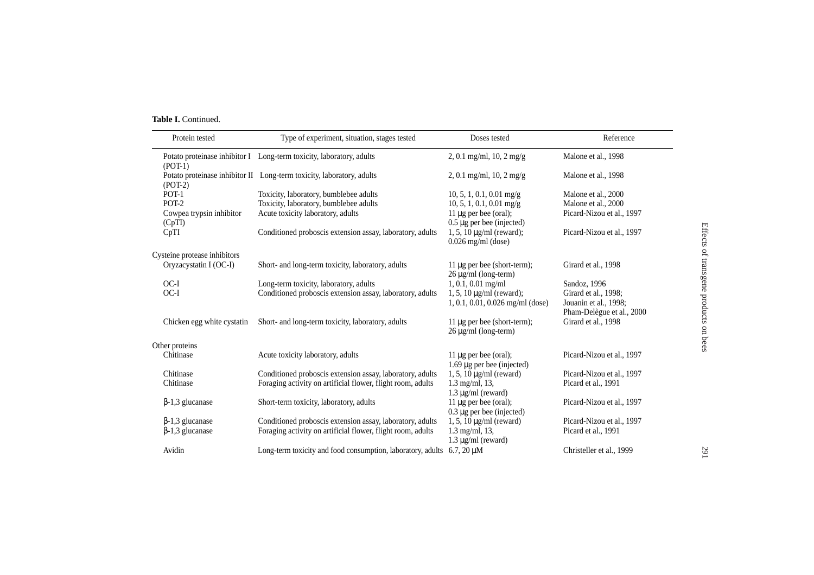#### **Table I.** Continued.

| Protein tested                     | Type of experiment, situation, stages tested                                   | Doses tested                                                        | Reference                                                                  |
|------------------------------------|--------------------------------------------------------------------------------|---------------------------------------------------------------------|----------------------------------------------------------------------------|
| $(POT-1)$                          | Potato proteinase inhibitor I Long-term toxicity, laboratory, adults           | 2, 0.1 mg/ml, 10, 2 mg/g                                            | Malone et al., 1998                                                        |
| $(POT-2)$                          | Potato proteinase inhibitor II Long-term toxicity, laboratory, adults          | 2, 0.1 mg/ml, 10, 2 mg/g                                            | Malone et al., 1998                                                        |
| POT-1                              | Toxicity, laboratory, bumblebee adults                                         | $10, 5, 1, 0.1, 0.01$ mg/g                                          | Malone et al., 2000                                                        |
| POT-2                              | Toxicity, laboratory, bumblebee adults                                         | $10, 5, 1, 0.1, 0.01$ mg/g                                          | Malone et al., 2000                                                        |
| Cowpea trypsin inhibitor<br>(CpTI) | Acute toxicity laboratory, adults                                              | 11 µg per bee (oral);<br>$0.5 \,\mu g$ per bee (injected)           | Picard-Nizou et al., 1997                                                  |
| CpTI                               | Conditioned proboscis extension assay, laboratory, adults                      | $1, 5, 10 \mu g/ml$ (reward);<br>$0.026$ mg/ml (dose)               | Picard-Nizou et al., 1997                                                  |
| Cysteine protease inhibitors       |                                                                                |                                                                     |                                                                            |
| Oryzacystatin I (OC-I)             | Short- and long-term toxicity, laboratory, adults                              | 11 $\mu$ g per bee (short-term);<br>$26 \mu g/ml$ (long-term)       | Girard et al., 1998                                                        |
| OC-I                               | Long-term toxicity, laboratory, adults                                         | $1, 0.1, 0.01$ mg/ml                                                | Sandoz, 1996                                                               |
| OC-I                               | Conditioned proboscis extension assay, laboratory, adults                      | $1, 5, 10 \mu g/ml$ (reward);<br>$1, 0.1, 0.01, 0.026$ mg/ml (dose) | Girard et al., 1998;<br>Jouanin et al., 1998;<br>Pham-Delègue et al., 2000 |
| Chicken egg white cystatin         | Short- and long-term toxicity, laboratory, adults                              | 11 μg per bee (short-term);<br>$26 \mu g/ml$ (long-term)            | Girard et al., 1998                                                        |
| Other proteins                     |                                                                                |                                                                     |                                                                            |
| Chitinase                          | Acute toxicity laboratory, adults                                              | 11 $\mu$ g per bee (oral);<br>$1.69 \mu$ g per bee (injected)       | Picard-Nizou et al., 1997                                                  |
| Chitinase                          | Conditioned proboscis extension assay, laboratory, adults                      | $1, 5, 10 \mu g/ml$ (reward)                                        | Picard-Nizou et al., 1997                                                  |
| Chitinase                          | Foraging activity on artificial flower, flight room, adults                    | $1.3 \text{ mg/ml}, 13,$<br>$1.3 \mu g/ml$ (reward)                 | Picard et al., 1991                                                        |
| $\beta$ -1,3 glucanase             | Short-term toxicity, laboratory, adults                                        | 11 $\mu$ g per bee (oral);<br>$0.3 \mu$ g per bee (injected)        | Picard-Nizou et al., 1997                                                  |
| $\beta$ -1,3 glucanase             | Conditioned proboscis extension assay, laboratory, adults                      | $1, 5, 10 \mu g/ml$ (reward)                                        | Picard-Nizou et al., 1997                                                  |
| $\beta$ -1,3 glucanase             | Foraging activity on artificial flower, flight room, adults                    | $1.3 \text{ mg/ml}, 13,$<br>$1.3 \mu g/ml$ (reward)                 | Picard et al., 1991                                                        |
| Avidin                             | Long-term toxicity and food consumption, laboratory, adults $6.7$ , $20 \mu M$ |                                                                     | Christeller et al., 1999                                                   |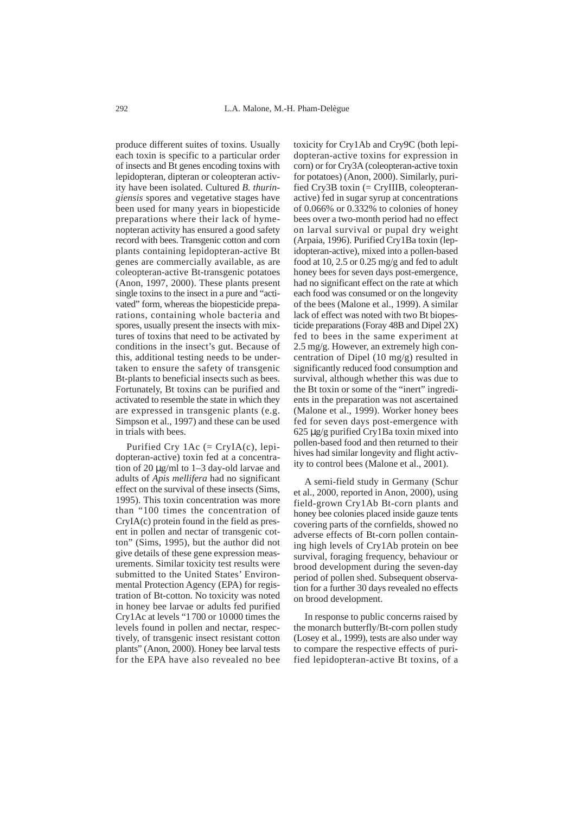produce different suites of toxins. Usually each toxin is specific to a particular order of insects and Bt genes encoding toxins with lepidopteran, dipteran or coleopteran activity have been isolated. Cultured *B. thuringiensis* spores and vegetative stages have been used for many years in biopesticide preparations where their lack of hymenopteran activity has ensured a good safety record with bees. Transgenic cotton and corn plants containing lepidopteran-active Bt genes are commercially available, as are coleopteran-active Bt-transgenic potatoes (Anon, 1997, 2000). These plants present single toxins to the insect in a pure and "activated" form, whereas the biopesticide preparations, containing whole bacteria and spores, usually present the insects with mixtures of toxins that need to be activated by conditions in the insect's gut. Because of this, additional testing needs to be undertaken to ensure the safety of transgenic Bt-plants to beneficial insects such as bees. Fortunately, Bt toxins can be purified and activated to resemble the state in which they are expressed in transgenic plants (e.g. Simpson et al., 1997) and these can be used in trials with bees.

Purified Cry  $1Ac (= CryIA(c), lepi$ dopteran-active) toxin fed at a concentration of 20 µg/ml to 1–3 day-old larvae and adults of *Apis mellifera* had no significant effect on the survival of these insects (Sims, 1995). This toxin concentration was more than "100 times the concentration of CryIA(c) protein found in the field as present in pollen and nectar of transgenic cotton" (Sims, 1995), but the author did not give details of these gene expression measurements. Similar toxicity test results were submitted to the United States' Environmental Protection Agency (EPA) for registration of Bt-cotton. No toxicity was noted in honey bee larvae or adults fed purified Cry1Ac at levels "1700 or 10000 times the levels found in pollen and nectar, respectively, of transgenic insect resistant cotton plants" (Anon, 2000). Honey bee larval tests for the EPA have also revealed no bee

toxicity for Cry1Ab and Cry9C (both lepidopteran-active toxins for expression in corn) or for Cry3A (coleopteran-active toxin for potatoes) (Anon, 2000). Similarly, purified Cry3B toxin  $(= CrvIIIB, coleopteran$ active) fed in sugar syrup at concentrations of 0.066% or 0.332% to colonies of honey bees over a two-month period had no effect on larval survival or pupal dry weight (Arpaia, 1996). Purified Cry1Ba toxin (lepidopteran-active), mixed into a pollen-based food at 10, 2.5 or 0.25 mg/g and fed to adult honey bees for seven days post-emergence, had no significant effect on the rate at which each food was consumed or on the longevity of the bees (Malone et al., 1999). A similar lack of effect was noted with two Bt biopesticide preparations (Foray 48B and Dipel 2X) fed to bees in the same experiment at 2.5 mg/g. However, an extremely high concentration of Dipel (10 mg/g) resulted in significantly reduced food consumption and survival, although whether this was due to the Bt toxin or some of the "inert" ingredients in the preparation was not ascertained (Malone et al., 1999). Worker honey bees fed for seven days post-emergence with 625 µg/g purified Cry1Ba toxin mixed into pollen-based food and then returned to their hives had similar longevity and flight activity to control bees (Malone et al., 2001).

A semi-field study in Germany (Schur et al., 2000, reported in Anon, 2000), using field-grown Cry1Ab Bt-corn plants and honey bee colonies placed inside gauze tents covering parts of the cornfields, showed no adverse effects of Bt-corn pollen containing high levels of Cry1Ab protein on bee survival, foraging frequency, behaviour or brood development during the seven-day period of pollen shed. Subsequent observation for a further 30 days revealed no effects on brood development.

In response to public concerns raised by the monarch butterfly/Bt-corn pollen study (Losey et al., 1999), tests are also under way to compare the respective effects of purified lepidopteran-active Bt toxins, of a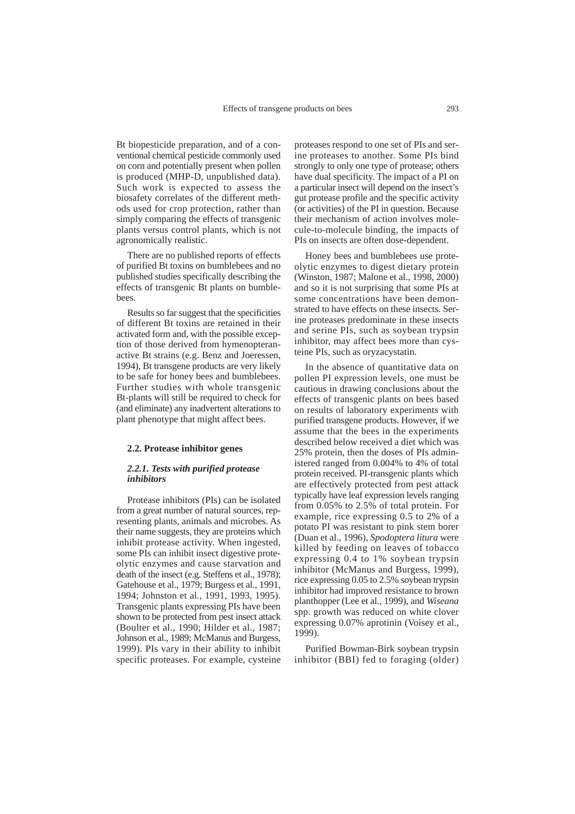Bt biopesticide preparation, and of a conventional chemical pesticide commonly used on corn and potentially present when pollen is produced (MHP-D, unpublished data). Such work is expected to assess the biosafety correlates of the different methods used for crop protection, rather than simply comparing the effects of transgenic plants versus control plants, which is not agronomically realistic.

There are no published reports of effects of purified Bt toxins on bumblebees and no published studies specifically describing the effects of transgenic Bt plants on bumblebees.

Results so far suggest that the specificities of different Bt toxins are retained in their activated form and, with the possible exception of those derived from hymenopteranactive Bt strains (e.g. Benz and Joeressen, 1994), Bt transgene products are very likely to be safe for honey bees and bumblebees. Further studies with whole transgenic Bt-plants will still be required to check for (and eliminate) any inadvertent alterations to plant phenotype that might affect bees.

#### **2.2. Protease inhibitor genes**

#### *2.2.1. Tests with purified protease inhibitors*

Protease inhibitors (PIs) can be isolated from a great number of natural sources, representing plants, animals and microbes. As their name suggests, they are proteins which inhibit protease activity. When ingested, some PIs can inhibit insect digestive proteolytic enzymes and cause starvation and death of the insect (e.g. Steffens et al., 1978); Gatehouse et al., 1979; Burgess et al., 1991, 1994; Johnston et al., 1991, 1993, 1995). Transgenic plants expressing PIs have been shown to be protected from pest insect attack (Boulter et al., 1990; Hilder et al., 1987; Johnson et al., 1989; McManus and Burgess, 1999). PIs vary in their ability to inhibit specific proteases. For example, cysteine

proteases respond to one set of PIs and serine proteases to another. Some PIs bind strongly to only one type of protease; others have dual specificity. The impact of a PI on a particular insect will depend on the insect's gut protease profile and the specific activity (or activities) of the PI in question. Because their mechanism of action involves molecule-to-molecule binding, the impacts of PIs on insects are often dose-dependent.

Honey bees and bumblebees use proteolytic enzymes to digest dietary protein (Winston, 1987; Malone et al., 1998, 2000) and so it is not surprising that some PIs at some concentrations have been demonstrated to have effects on these insects. Serine proteases predominate in these insects and serine PIs, such as soybean trypsin inhibitor, may affect bees more than cysteine PIs, such as oryzacystatin.

In the absence of quantitative data on pollen PI expression levels, one must be cautious in drawing conclusions about the effects of transgenic plants on bees based on results of laboratory experiments with purified transgene products. However, if we assume that the bees in the experiments described below received a diet which was 25% protein, then the doses of PIs administered ranged from 0.004% to 4% of total protein received. PI-transgenic plants which are effectively protected from pest attack typically have leaf expression levels ranging from 0.05% to 2.5% of total protein. For example, rice expressing 0.5 to 2% of a potato PI was resistant to pink stem borer (Duan et al., 1996), *Spodoptera litura* were killed by feeding on leaves of tobacco expressing 0.4 to 1% soybean trypsin inhibitor (McManus and Burgess, 1999), rice expressing 0.05 to 2.5% soybean trypsin inhibitor had improved resistance to brown planthopper (Lee et al., 1999), and *Wiseana* spp. growth was reduced on white clover expressing 0.07% aprotinin (Voisey et al., 1999).

Purified Bowman-Birk soybean trypsin inhibitor (BBI) fed to foraging (older)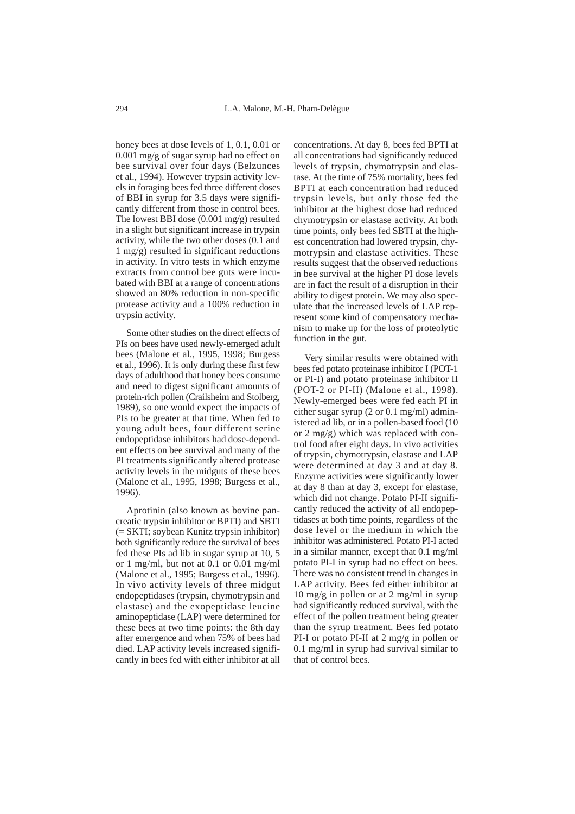honey bees at dose levels of 1, 0.1, 0.01 or 0.001 mg/g of sugar syrup had no effect on bee survival over four days (Belzunces et al., 1994). However trypsin activity levels in foraging bees fed three different doses of BBI in syrup for 3.5 days were significantly different from those in control bees. The lowest BBI dose (0.001 mg/g) resulted in a slight but significant increase in trypsin activity, while the two other doses (0.1 and 1 mg/g) resulted in significant reductions in activity. In vitro tests in which enzyme extracts from control bee guts were incubated with BBI at a range of concentrations showed an 80% reduction in non-specific protease activity and a 100% reduction in trypsin activity.

Some other studies on the direct effects of PIs on bees have used newly-emerged adult bees (Malone et al., 1995, 1998; Burgess et al., 1996). It is only during these first few days of adulthood that honey bees consume and need to digest significant amounts of protein-rich pollen (Crailsheim and Stolberg, 1989), so one would expect the impacts of PIs to be greater at that time. When fed to young adult bees, four different serine endopeptidase inhibitors had dose-dependent effects on bee survival and many of the PI treatments significantly altered protease activity levels in the midguts of these bees (Malone et al., 1995, 1998; Burgess et al., 1996).

Aprotinin (also known as bovine pancreatic trypsin inhibitor or BPTI) and SBTI (= SKTI; soybean Kunitz trypsin inhibitor) both significantly reduce the survival of bees fed these PIs ad lib in sugar syrup at 10, 5 or 1 mg/ml, but not at 0.1 or 0.01 mg/ml (Malone et al., 1995; Burgess et al., 1996). In vivo activity levels of three midgut endopeptidases (trypsin, chymotrypsin and elastase) and the exopeptidase leucine aminopeptidase (LAP) were determined for these bees at two time points: the 8th day after emergence and when 75% of bees had died. LAP activity levels increased significantly in bees fed with either inhibitor at all

concentrations. At day 8, bees fed BPTI at all concentrations had significantly reduced levels of trypsin, chymotrypsin and elastase. At the time of 75% mortality, bees fed BPTI at each concentration had reduced trypsin levels, but only those fed the inhibitor at the highest dose had reduced chymotrypsin or elastase activity. At both time points, only bees fed SBTI at the highest concentration had lowered trypsin, chymotrypsin and elastase activities. These results suggest that the observed reductions in bee survival at the higher PI dose levels are in fact the result of a disruption in their ability to digest protein. We may also speculate that the increased levels of LAP represent some kind of compensatory mechanism to make up for the loss of proteolytic function in the gut.

Very similar results were obtained with bees fed potato proteinase inhibitor I (POT-1 or PI-I) and potato proteinase inhibitor II (POT-2 or PI-II) (Malone et al., 1998). Newly-emerged bees were fed each PI in either sugar syrup (2 or 0.1 mg/ml) administered ad lib, or in a pollen-based food (10 or 2 mg/g) which was replaced with control food after eight days. In vivo activities of trypsin, chymotrypsin, elastase and LAP were determined at day 3 and at day 8. Enzyme activities were significantly lower at day 8 than at day 3, except for elastase, which did not change. Potato PI-II significantly reduced the activity of all endopeptidases at both time points, regardless of the dose level or the medium in which the inhibitor was administered. Potato PI-I acted in a similar manner, except that 0.1 mg/ml potato PI-I in syrup had no effect on bees. There was no consistent trend in changes in LAP activity. Bees fed either inhibitor at 10 mg/g in pollen or at 2 mg/ml in syrup had significantly reduced survival, with the effect of the pollen treatment being greater than the syrup treatment. Bees fed potato PI-I or potato PI-II at 2 mg/g in pollen or 0.1 mg/ml in syrup had survival similar to that of control bees.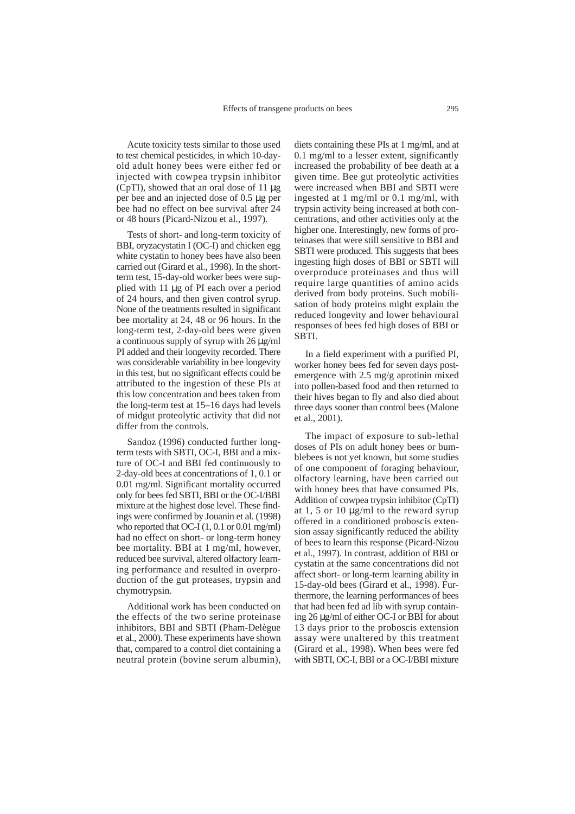Acute toxicity tests similar to those used to test chemical pesticides, in which 10-dayold adult honey bees were either fed or injected with cowpea trypsin inhibitor (CpTI), showed that an oral dose of 11 µg per bee and an injected dose of 0.5 µg per bee had no effect on bee survival after 24 or 48 hours (Picard-Nizou et al., 1997).

Tests of short- and long-term toxicity of BBI, oryzacystatin I (OC-I) and chicken egg white cystatin to honey bees have also been carried out (Girard et al., 1998). In the shortterm test, 15-day-old worker bees were supplied with 11 µg of PI each over a period of 24 hours, and then given control syrup. None of the treatments resulted in significant bee mortality at 24, 48 or 96 hours. In the long-term test, 2-day-old bees were given a continuous supply of syrup with 26 µg/ml PI added and their longevity recorded. There was considerable variability in bee longevity in this test, but no significant effects could be attributed to the ingestion of these PIs at this low concentration and bees taken from the long-term test at 15–16 days had levels of midgut proteolytic activity that did not differ from the controls.

Sandoz (1996) conducted further longterm tests with SBTI, OC-I, BBI and a mixture of OC-I and BBI fed continuously to 2-day-old bees at concentrations of 1, 0.1 or 0.01 mg/ml. Significant mortality occurred only for bees fed SBTI, BBI or the OC-I/BBI mixture at the highest dose level. These findings were confirmed by Jouanin et al*.* (1998) who reported that OC-I (1, 0.1 or 0.01 mg/ml) had no effect on short- or long-term honey bee mortality. BBI at 1 mg/ml, however, reduced bee survival, altered olfactory learning performance and resulted in overproduction of the gut proteases, trypsin and chymotrypsin.

Additional work has been conducted on the effects of the two serine proteinase inhibitors, BBI and SBTI (Pham-Delègue et al., 2000). These experiments have shown that, compared to a control diet containing a neutral protein (bovine serum albumin), diets containing these PIs at 1 mg/ml, and at 0.1 mg/ml to a lesser extent, significantly increased the probability of bee death at a given time. Bee gut proteolytic activities were increased when BBI and SBTI were ingested at 1 mg/ml or 0.1 mg/ml, with trypsin activity being increased at both concentrations, and other activities only at the higher one. Interestingly, new forms of proteinases that were still sensitive to BBI and SBTI were produced. This suggests that bees ingesting high doses of BBI or SBTI will overproduce proteinases and thus will require large quantities of amino acids derived from body proteins. Such mobilisation of body proteins might explain the reduced longevity and lower behavioural responses of bees fed high doses of BBI or SBTI.

In a field experiment with a purified PI, worker honey bees fed for seven days postemergence with 2.5 mg/g aprotinin mixed into pollen-based food and then returned to their hives began to fly and also died about three days sooner than control bees (Malone et al., 2001).

The impact of exposure to sub-lethal doses of PIs on adult honey bees or bumblebees is not yet known, but some studies of one component of foraging behaviour, olfactory learning, have been carried out with honey bees that have consumed PIs. Addition of cowpea trypsin inhibitor (CpTI) at 1, 5 or 10 µg/ml to the reward syrup offered in a conditioned proboscis extension assay significantly reduced the ability of bees to learn this response (Picard-Nizou et al., 1997). In contrast, addition of BBI or cystatin at the same concentrations did not affect short- or long-term learning ability in 15-day-old bees (Girard et al., 1998). Furthermore, the learning performances of bees that had been fed ad lib with syrup containing 26 µg/ml of either OC-I or BBI for about 13 days prior to the proboscis extension assay were unaltered by this treatment (Girard et al., 1998). When bees were fed with SBTI, OC-I, BBI or a OC-I/BBI mixture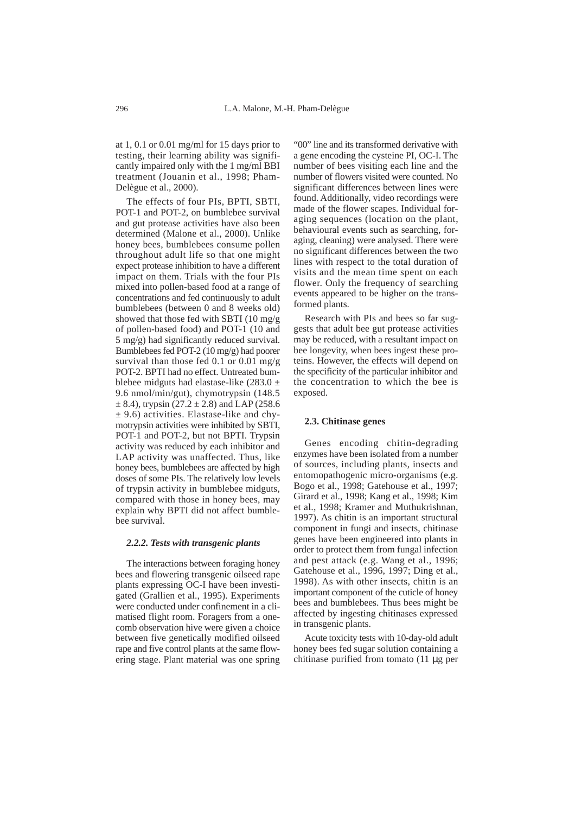at 1, 0.1 or 0.01 mg/ml for 15 days prior to testing, their learning ability was significantly impaired only with the 1 mg/ml BBI treatment (Jouanin et al., 1998; Pham-Delègue et al., 2000).

The effects of four PIs, BPTI, SBTI, POT-1 and POT-2, on bumblebee survival and gut protease activities have also been determined (Malone et al., 2000). Unlike honey bees, bumblebees consume pollen throughout adult life so that one might expect protease inhibition to have a different impact on them. Trials with the four PIs mixed into pollen-based food at a range of concentrations and fed continuously to adult bumblebees (between 0 and 8 weeks old) showed that those fed with SBTI (10 mg/g of pollen-based food) and POT-1 (10 and 5 mg/g) had significantly reduced survival. Bumblebees fed POT-2 (10 mg/g) had poorer survival than those fed  $0.1$  or  $0.01$  mg/g POT-2. BPTI had no effect. Untreated bumblebee midguts had elastase-like  $(283.0 \pm$ 9.6 nmol/min/gut), chymotrypsin (148.5  $\pm$  8.4), trypsin (27.2  $\pm$  2.8) and LAP (258.6)  $\pm$  9.6) activities. Elastase-like and chymotrypsin activities were inhibited by SBTI, POT-1 and POT-2, but not BPTI. Trypsin activity was reduced by each inhibitor and LAP activity was unaffected. Thus, like honey bees, bumblebees are affected by high doses of some PIs. The relatively low levels of trypsin activity in bumblebee midguts, compared with those in honey bees, may explain why BPTI did not affect bumblebee survival.

#### *2.2.2. Tests with transgenic plants*

The interactions between foraging honey bees and flowering transgenic oilseed rape plants expressing OC-I have been investigated (Grallien et al., 1995). Experiments were conducted under confinement in a climatised flight room. Foragers from a onecomb observation hive were given a choice between five genetically modified oilseed rape and five control plants at the same flowering stage. Plant material was one spring

"00" line and its transformed derivative with a gene encoding the cysteine PI, OC-I. The number of bees visiting each line and the number of flowers visited were counted. No significant differences between lines were found. Additionally, video recordings were made of the flower scapes. Individual foraging sequences (location on the plant, behavioural events such as searching, foraging, cleaning) were analysed. There were no significant differences between the two lines with respect to the total duration of visits and the mean time spent on each flower. Only the frequency of searching events appeared to be higher on the transformed plants.

Research with PIs and bees so far suggests that adult bee gut protease activities may be reduced, with a resultant impact on bee longevity, when bees ingest these proteins. However, the effects will depend on the specificity of the particular inhibitor and the concentration to which the bee is exposed.

#### **2.3. Chitinase genes**

Genes encoding chitin-degrading enzymes have been isolated from a number of sources, including plants, insects and entomopathogenic micro-organisms (e.g. Bogo et al., 1998; Gatehouse et al., 1997; Girard et al., 1998; Kang et al., 1998; Kim et al., 1998; Kramer and Muthukrishnan, 1997). As chitin is an important structural component in fungi and insects, chitinase genes have been engineered into plants in order to protect them from fungal infection and pest attack (e.g. Wang et al., 1996; Gatehouse et al., 1996, 1997; Ding et al., 1998). As with other insects, chitin is an important component of the cuticle of honey bees and bumblebees. Thus bees might be affected by ingesting chitinases expressed in transgenic plants.

Acute toxicity tests with 10-day-old adult honey bees fed sugar solution containing a chitinase purified from tomato (11 µg per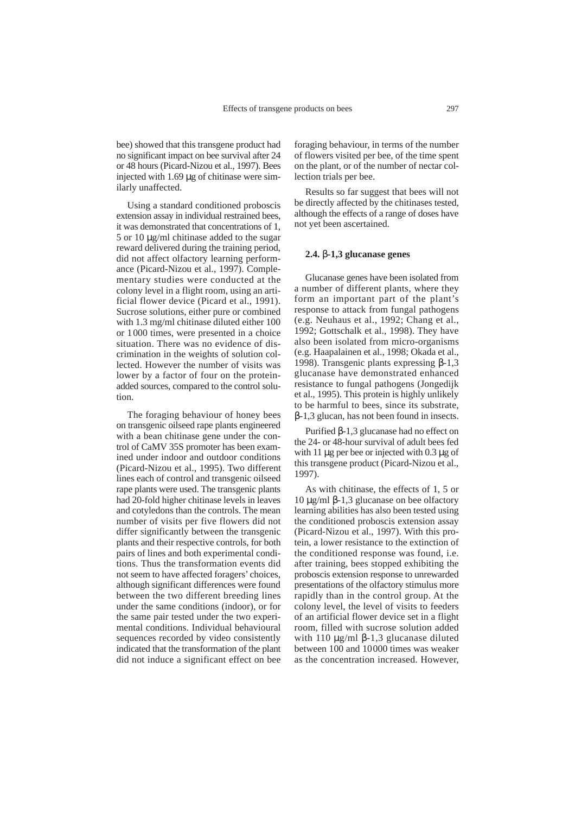bee) showed that this transgene product had no significant impact on bee survival after 24 or 48 hours (Picard-Nizou et al., 1997). Bees injected with  $1.69 \mu$ g of chitinase were similarly unaffected.

Using a standard conditioned proboscis extension assay in individual restrained bees, it was demonstrated that concentrations of 1, 5 or 10 µg/ml chitinase added to the sugar reward delivered during the training period, did not affect olfactory learning performance (Picard-Nizou et al., 1997). Complementary studies were conducted at the colony level in a flight room, using an artificial flower device (Picard et al., 1991). Sucrose solutions, either pure or combined with 1.3 mg/ml chitinase diluted either 100 or 1000 times, were presented in a choice situation. There was no evidence of discrimination in the weights of solution collected. However the number of visits was lower by a factor of four on the proteinadded sources, compared to the control solution.

The foraging behaviour of honey bees on transgenic oilseed rape plants engineered with a bean chitinase gene under the control of CaMV 35S promoter has been examined under indoor and outdoor conditions (Picard-Nizou et al., 1995). Two different lines each of control and transgenic oilseed rape plants were used. The transgenic plants had 20-fold higher chitinase levels in leaves and cotyledons than the controls. The mean number of visits per five flowers did not differ significantly between the transgenic plants and their respective controls, for both pairs of lines and both experimental conditions. Thus the transformation events did not seem to have affected foragers' choices, although significant differences were found between the two different breeding lines under the same conditions (indoor), or for the same pair tested under the two experimental conditions. Individual behavioural sequences recorded by video consistently indicated that the transformation of the plant did not induce a significant effect on bee foraging behaviour, in terms of the number of flowers visited per bee, of the time spent on the plant, or of the number of nectar collection trials per bee.

Results so far suggest that bees will not be directly affected by the chitinases tested, although the effects of a range of doses have not yet been ascertained.

#### **2.4.** β**-1,3 glucanase genes**

Glucanase genes have been isolated from a number of different plants, where they form an important part of the plant's response to attack from fungal pathogens (e.g. Neuhaus et al., 1992; Chang et al., 1992; Gottschalk et al., 1998). They have also been isolated from micro-organisms (e.g. Haapalainen et al., 1998; Okada et al., 1998). Transgenic plants expressing β-1,3 glucanase have demonstrated enhanced resistance to fungal pathogens (Jongedijk et al., 1995). This protein is highly unlikely to be harmful to bees, since its substrate, β-1,3 glucan, has not been found in insects.

Purified β-1,3 glucanase had no effect on the 24- or 48-hour survival of adult bees fed with 11 µg per bee or injected with 0.3 µg of this transgene product (Picard-Nizou et al., 1997).

As with chitinase, the effects of 1, 5 or 10 µg/ml β-1,3 glucanase on bee olfactory learning abilities has also been tested using the conditioned proboscis extension assay (Picard-Nizou et al., 1997). With this protein, a lower resistance to the extinction of the conditioned response was found, i.e. after training, bees stopped exhibiting the proboscis extension response to unrewarded presentations of the olfactory stimulus more rapidly than in the control group. At the colony level, the level of visits to feeders of an artificial flower device set in a flight room, filled with sucrose solution added with 110  $\mu$ g/ml β-1,3 glucanase diluted between 100 and 10000 times was weaker as the concentration increased. However,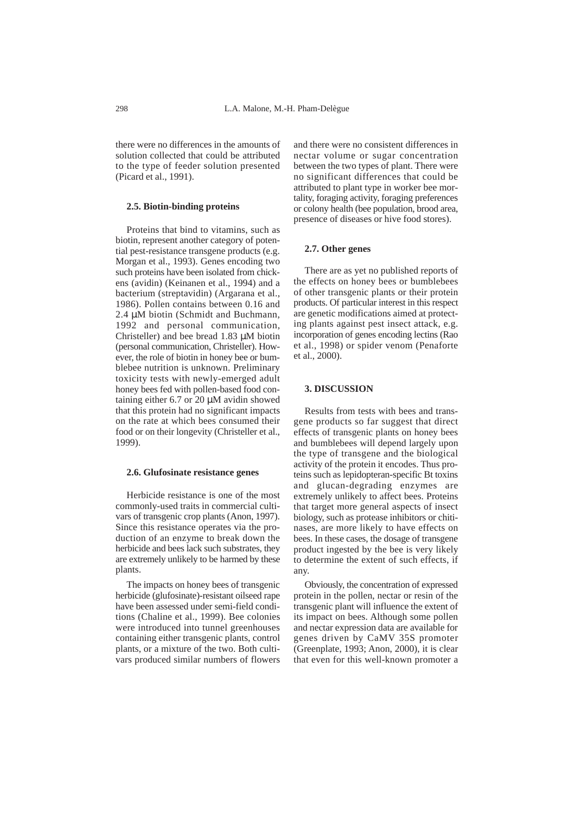there were no differences in the amounts of solution collected that could be attributed to the type of feeder solution presented (Picard et al., 1991).

#### **2.5. Biotin-binding proteins**

Proteins that bind to vitamins, such as biotin, represent another category of potential pest-resistance transgene products (e.g. Morgan et al., 1993). Genes encoding two such proteins have been isolated from chickens (avidin) (Keinanen et al., 1994) and a bacterium (streptavidin) (Argarana et al., 1986). Pollen contains between 0.16 and 2.4  $\mu$ M biotin (Schmidt and Buchmann, 1992 and personal communication, Christeller) and bee bread 1.83 µM biotin (personal communication, Christeller). However, the role of biotin in honey bee or bumblebee nutrition is unknown. Preliminary toxicity tests with newly-emerged adult honey bees fed with pollen-based food containing either 6.7 or 20 µM avidin showed that this protein had no significant impacts on the rate at which bees consumed their food or on their longevity (Christeller et al., 1999).

### **2.6. Glufosinate resistance genes**

Herbicide resistance is one of the most commonly-used traits in commercial cultivars of transgenic crop plants (Anon, 1997). Since this resistance operates via the production of an enzyme to break down the herbicide and bees lack such substrates, they are extremely unlikely to be harmed by these plants.

The impacts on honey bees of transgenic herbicide (glufosinate)-resistant oilseed rape have been assessed under semi-field conditions (Chaline et al., 1999). Bee colonies were introduced into tunnel greenhouses containing either transgenic plants, control plants, or a mixture of the two. Both cultivars produced similar numbers of flowers

and there were no consistent differences in nectar volume or sugar concentration between the two types of plant. There were no significant differences that could be attributed to plant type in worker bee mortality, foraging activity, foraging preferences or colony health (bee population, brood area, presence of diseases or hive food stores).

#### **2.7. Other genes**

There are as yet no published reports of the effects on honey bees or bumblebees of other transgenic plants or their protein products. Of particular interest in this respect are genetic modifications aimed at protecting plants against pest insect attack, e.g. incorporation of genes encoding lectins (Rao et al., 1998) or spider venom (Penaforte et al., 2000).

#### **3. DISCUSSION**

Results from tests with bees and transgene products so far suggest that direct effects of transgenic plants on honey bees and bumblebees will depend largely upon the type of transgene and the biological activity of the protein it encodes. Thus proteins such as lepidopteran-specific Bt toxins and glucan-degrading enzymes are extremely unlikely to affect bees. Proteins that target more general aspects of insect biology, such as protease inhibitors or chitinases, are more likely to have effects on bees. In these cases, the dosage of transgene product ingested by the bee is very likely to determine the extent of such effects, if any.

Obviously, the concentration of expressed protein in the pollen, nectar or resin of the transgenic plant will influence the extent of its impact on bees. Although some pollen and nectar expression data are available for genes driven by CaMV 35S promoter (Greenplate, 1993; Anon, 2000), it is clear that even for this well-known promoter a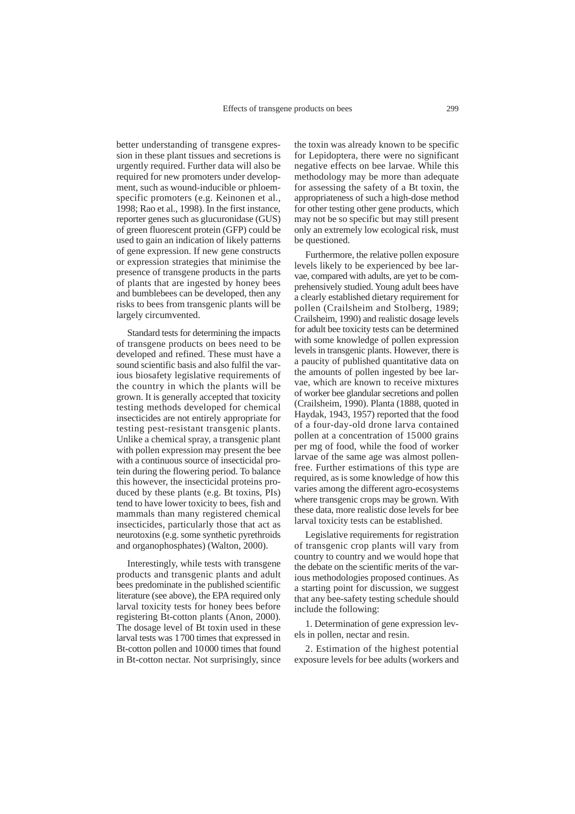better understanding of transgene expression in these plant tissues and secretions is urgently required. Further data will also be required for new promoters under development, such as wound-inducible or phloemspecific promoters (e.g. Keinonen et al., 1998; Rao et al., 1998). In the first instance, reporter genes such as glucuronidase (GUS) of green fluorescent protein (GFP) could be used to gain an indication of likely patterns of gene expression. If new gene constructs or expression strategies that minimise the presence of transgene products in the parts of plants that are ingested by honey bees and bumblebees can be developed, then any risks to bees from transgenic plants will be largely circumvented.

Standard tests for determining the impacts of transgene products on bees need to be developed and refined. These must have a sound scientific basis and also fulfil the various biosafety legislative requirements of the country in which the plants will be grown. It is generally accepted that toxicity testing methods developed for chemical insecticides are not entirely appropriate for testing pest-resistant transgenic plants. Unlike a chemical spray, a transgenic plant with pollen expression may present the bee with a continuous source of insecticidal protein during the flowering period. To balance this however, the insecticidal proteins produced by these plants (e.g. Bt toxins, PIs) tend to have lower toxicity to bees, fish and mammals than many registered chemical insecticides, particularly those that act as neurotoxins (e.g. some synthetic pyrethroids and organophosphates) (Walton, 2000).

Interestingly, while tests with transgene products and transgenic plants and adult bees predominate in the published scientific literature (see above), the EPA required only larval toxicity tests for honey bees before registering Bt-cotton plants (Anon, 2000). The dosage level of Bt toxin used in these larval tests was 1700 times that expressed in Bt-cotton pollen and 10000 times that found in Bt-cotton nectar. Not surprisingly, since

the toxin was already known to be specific for Lepidoptera, there were no significant negative effects on bee larvae. While this methodology may be more than adequate for assessing the safety of a Bt toxin, the appropriateness of such a high-dose method for other testing other gene products, which may not be so specific but may still present only an extremely low ecological risk, must be questioned.

Furthermore, the relative pollen exposure levels likely to be experienced by bee larvae, compared with adults, are yet to be comprehensively studied. Young adult bees have a clearly established dietary requirement for pollen (Crailsheim and Stolberg, 1989; Crailsheim, 1990) and realistic dosage levels for adult bee toxicity tests can be determined with some knowledge of pollen expression levels in transgenic plants. However, there is a paucity of published quantitative data on the amounts of pollen ingested by bee larvae, which are known to receive mixtures of worker bee glandular secretions and pollen (Crailsheim, 1990). Planta (1888, quoted in Haydak, 1943, 1957) reported that the food of a four-day-old drone larva contained pollen at a concentration of 15000 grains per mg of food, while the food of worker larvae of the same age was almost pollenfree. Further estimations of this type are required, as is some knowledge of how this varies among the different agro-ecosystems where transgenic crops may be grown. With these data, more realistic dose levels for bee larval toxicity tests can be established.

Legislative requirements for registration of transgenic crop plants will vary from country to country and we would hope that the debate on the scientific merits of the various methodologies proposed continues. As a starting point for discussion, we suggest that any bee-safety testing schedule should include the following:

1. Determination of gene expression levels in pollen, nectar and resin.

2. Estimation of the highest potential exposure levels for bee adults (workers and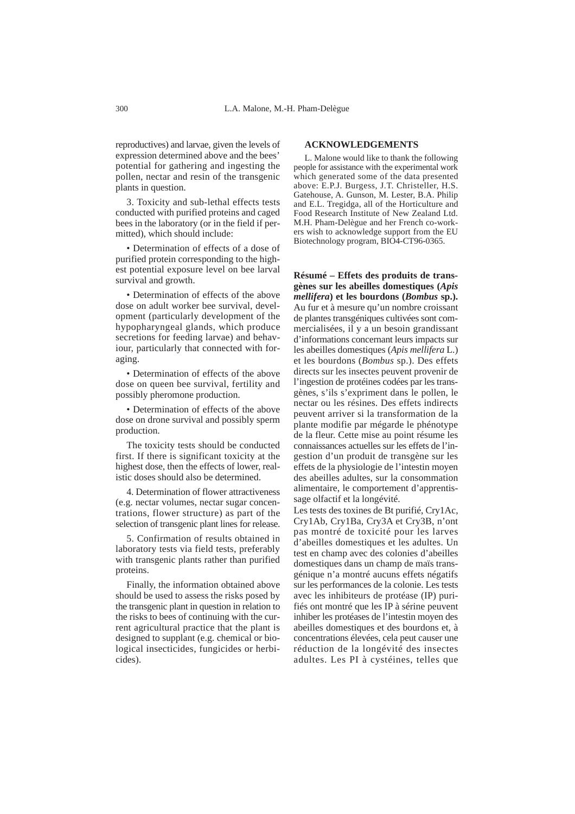reproductives) and larvae, given the levels of expression determined above and the bees' potential for gathering and ingesting the pollen, nectar and resin of the transgenic plants in question.

3. Toxicity and sub-lethal effects tests conducted with purified proteins and caged bees in the laboratory (or in the field if permitted), which should include:

• Determination of effects of a dose of purified protein corresponding to the highest potential exposure level on bee larval survival and growth.

• Determination of effects of the above dose on adult worker bee survival, development (particularly development of the hypopharyngeal glands, which produce secretions for feeding larvae) and behaviour, particularly that connected with foraging.

• Determination of effects of the above dose on queen bee survival, fertility and possibly pheromone production.

• Determination of effects of the above dose on drone survival and possibly sperm production.

The toxicity tests should be conducted first. If there is significant toxicity at the highest dose, then the effects of lower, realistic doses should also be determined.

4. Determination of flower attractiveness (e.g. nectar volumes, nectar sugar concentrations, flower structure) as part of the selection of transgenic plant lines for release.

5. Confirmation of results obtained in laboratory tests via field tests, preferably with transgenic plants rather than purified proteins.

Finally, the information obtained above should be used to assess the risks posed by the transgenic plant in question in relation to the risks to bees of continuing with the current agricultural practice that the plant is designed to supplant (e.g. chemical or biological insecticides, fungicides or herbicides).

#### **ACKNOWLEDGEMENTS**

L. Malone would like to thank the following people for assistance with the experimental work which generated some of the data presented above: E.P.J. Burgess, J.T. Christeller, H.S. Gatehouse, A. Gunson, M. Lester, B.A. Philip and E.L. Tregidga, all of the Horticulture and Food Research Institute of New Zealand Ltd. M.H. Pham-Delègue and her French co-workers wish to acknowledge support from the EU Biotechnology program, BIO4-CT96-0365.

**Résumé – Effets des produits de transgènes sur les abeilles domestiques (***Apis mellifera***) et les bourdons (***Bombus* **sp.).** Au fur et à mesure qu'un nombre croissant de plantes transgéniques cultivées sont commercialisées, il y a un besoin grandissant d'informations concernant leurs impacts sur les abeilles domestiques (*Apis mellifera* L.) et les bourdons (*Bombus* sp.). Des effets directs sur les insectes peuvent provenir de l'ingestion de protéines codées par les transgènes, s'ils s'expriment dans le pollen, le nectar ou les résines. Des effets indirects peuvent arriver si la transformation de la plante modifie par mégarde le phénotype de la fleur. Cette mise au point résume les connaissances actuelles sur les effets de l'ingestion d'un produit de transgène sur les effets de la physiologie de l'intestin moyen des abeilles adultes, sur la consommation alimentaire, le comportement d'apprentissage olfactif et la longévité.

Les tests des toxines de Bt purifié, Cry1Ac, Cry1Ab, Cry1Ba, Cry3A et Cry3B, n'ont pas montré de toxicité pour les larves d'abeilles domestiques et les adultes. Un test en champ avec des colonies d'abeilles domestiques dans un champ de maïs transgénique n'a montré aucuns effets négatifs sur les performances de la colonie. Les tests avec les inhibiteurs de protéase (IP) purifiés ont montré que les IP à sérine peuvent inhiber les protéases de l'intestin moyen des abeilles domestiques et des bourdons et, à concentrations élevées, cela peut causer une réduction de la longévité des insectes adultes. Les PI à cystéines, telles que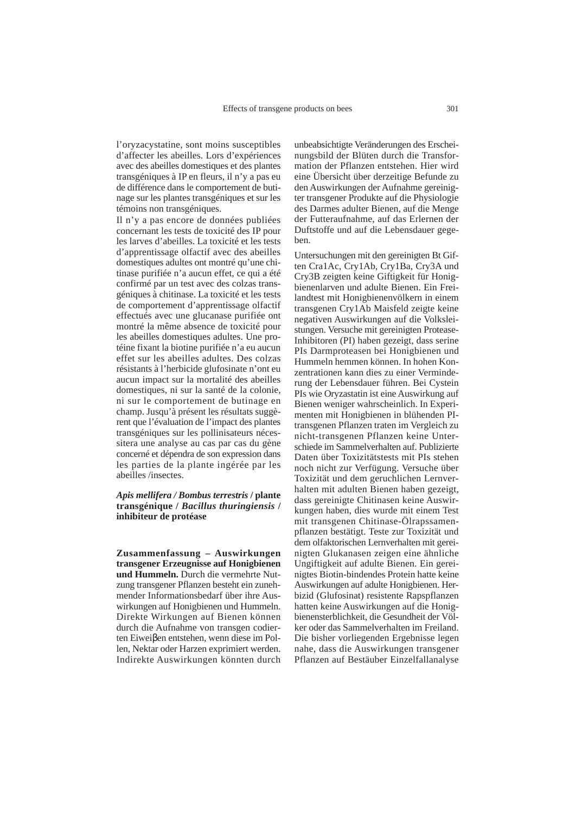l'oryzacystatine, sont moins susceptibles d'affecter les abeilles. Lors d'expériences avec des abeilles domestiques et des plantes transgéniques à IP en fleurs, il n'y a pas eu de différence dans le comportement de butinage sur les plantes transgéniques et sur les témoins non transgéniques.

Il n'y a pas encore de données publiées concernant les tests de toxicité des IP pour les larves d'abeilles. La toxicité et les tests d'apprentissage olfactif avec des abeilles domestiques adultes ont montré qu'une chitinase purifiée n'a aucun effet, ce qui a été confirmé par un test avec des colzas transgéniques à chitinase. La toxicité et les tests de comportement d'apprentissage olfactif effectués avec une glucanase purifiée ont montré la même absence de toxicité pour les abeilles domestiques adultes. Une protéine fixant la biotine purifiée n'a eu aucun effet sur les abeilles adultes. Des colzas résistants à l'herbicide glufosinate n'ont eu aucun impact sur la mortalité des abeilles domestiques, ni sur la santé de la colonie, ni sur le comportement de butinage en champ. Jusqu'à présent les résultats suggèrent que l'évaluation de l'impact des plantes transgéniques sur les pollinisateurs nécessitera une analyse au cas par cas du gène concerné et dépendra de son expression dans les parties de la plante ingérée par les abeilles /insectes.

#### *Apis mellifera / Bombus terrestris* **/ plante transgénique /** *Bacillus thuringiensis* **/ inhibiteur de protéase**

**Zusammenfassung – Auswirkungen transgener Erzeugnisse auf Honigbienen und Hummeln.** Durch die vermehrte Nutzung transgener Pflanzen besteht ein zunehmender Informationsbedarf über ihre Auswirkungen auf Honigbienen und Hummeln. Direkte Wirkungen auf Bienen können durch die Aufnahme von transgen codierten Eiweiβen entstehen, wenn diese im Pollen, Nektar oder Harzen exprimiert werden. Indirekte Auswirkungen könnten durch

unbeabsichtigte Veränderungen des Erscheinungsbild der Blüten durch die Transformation der Pflanzen entstehen. Hier wird eine Übersicht über derzeitige Befunde zu den Auswirkungen der Aufnahme gereinigter transgener Produkte auf die Physiologie des Darmes adulter Bienen, auf die Menge der Futteraufnahme, auf das Erlernen der Duftstoffe und auf die Lebensdauer gegeben.

Untersuchungen mit den gereinigten Bt Giften Cra1Ac, Cry1Ab, Cry1Ba, Cry3A und Cry3B zeigten keine Giftigkeit für Honigbienenlarven und adulte Bienen. Ein Freilandtest mit Honigbienenvölkern in einem transgenen Cry1Ab Maisfeld zeigte keine negativen Auswirkungen auf die Volksleistungen. Versuche mit gereinigten Protease-Inhibitoren (PI) haben gezeigt, dass serine PIs Darmproteasen bei Honigbienen und Hummeln hemmen können. In hohen Konzentrationen kann dies zu einer Verminderung der Lebensdauer führen. Bei Cystein PIs wie Oryzastatin ist eine Auswirkung auf Bienen weniger wahrscheinlich. In Experimenten mit Honigbienen in blühenden PItransgenen Pflanzen traten im Vergleich zu nicht-transgenen Pflanzen keine Unterschiede im Sammelverhalten auf. Publizierte Daten über Toxizitätstests mit PIs stehen noch nicht zur Verfügung. Versuche über Toxizität und dem geruchlichen Lernverhalten mit adulten Bienen haben gezeigt, dass gereinigte Chitinasen keine Auswirkungen haben, dies wurde mit einem Test mit transgenen Chitinase-Ölrapssamenpflanzen bestätigt. Teste zur Toxizität und dem olfaktorischen Lernverhalten mit gereinigten Glukanasen zeigen eine ähnliche Ungiftigkeit auf adulte Bienen. Ein gereinigtes Biotin-bindendes Protein hatte keine Auswirkungen auf adulte Honigbienen. Herbizid (Glufosinat) resistente Rapspflanzen hatten keine Auswirkungen auf die Honigbienensterblichkeit, die Gesundheit der Völker oder das Sammelverhalten im Freiland. Die bisher vorliegenden Ergebnisse legen nahe, dass die Auswirkungen transgener Pflanzen auf Bestäuber Einzelfallanalyse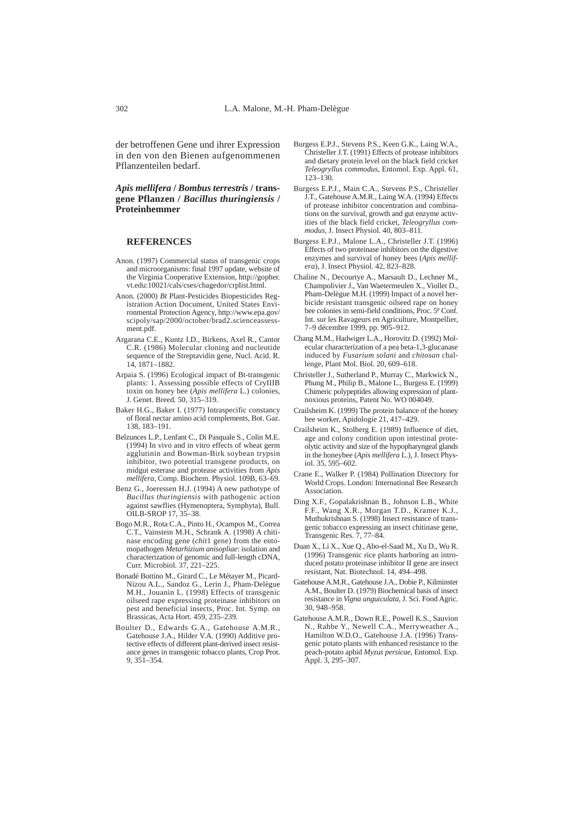der betroffenen Gene und ihrer Expression in den von den Bienen aufgenommenen Pflanzenteilen bedarf.

#### *Apis mellifera* **/** *Bombus terrestris* **/ transgene Pflanzen /** *Bacillus thuringiensis* **/ Proteinhemmer**

#### **REFERENCES**

- Anon. (1997) Commercial status of transgenic crops and microorganisms: final 1997 update, website of the Virginia Cooperative Extension, http://gopher. vt.edu:10021/cals/cses/chagedor/crplist.html.
- Anon. (2000) *Bt* Plant-Pesticides Biopesticides Registration Action Document, United States Environmental Protection Agency, http://www.epa.gov/ scipoly/sap/2000/october/brad2-scienceassessment.pdf.
- Argarana C.E., Kuntz I.D., Birkens, Axel R., Cantor C.R. (1986) Molecular cloning and nucleotide sequence of the Streptavidin gene, Nucl. Acid. R. 14, 1871–1882.
- Arpaia S. (1996) Ecological impact of Bt-transgenic plants: 1. Assessing possible effects of CryIIIB toxin on honey bee (*Apis mellifera* L.) colonies, J. Genet. Breed*.* 50, 315–319.
- Baker H.G., Baker I. (1977) Intraspecific constancy of floral nectar amino acid complements, Bot. Gaz. 138, 183–191.
- Belzunces L.P., Lenfant C., Di Pasquale S., Colin M.E. (1994) In vivo and in vitro effects of wheat germ agglutinin and Bowman-Birk soybean trypsin inhibitor, two potential transgene products, on midgut esterase and protease activities from *Apis mellifera*, Comp. Biochem. Physiol. 109B, 63–69.
- Benz G., Joeressen H.J. (1994) A new pathotype of *Bacillus thuringiensis* with pathogenic action against sawflies (Hymenoptera, Symphyta), Bull. OILB-SROP 17, 35–38.
- Bogo M.R., Rota C.A., Pinto H., Ocampos M., Correa C.T., Vainstein M.H., Schrank A. (1998) A chitinase encoding gene (*chit*1 gene) from the entomopathogen *Metarhizium anisopliae*: isolation and characterization of genomic and full-length cDNA, Curr. Microbiol. 37, 221–225.
- Bonadé Bottino M., Girard C., Le Métayer M., Picard-Nizou A.L., Sandoz G., Lerin J., Pham-Delègue M.H., Jouanin L. (1998) Effects of transgenic oilseed rape expressing proteinase inhibitors on pest and beneficial insects, Proc. Int. Symp. on Brassicas, Acta Hort. 459, 235–239.
- Boulter D., Edwards G.A., Gatehouse A.M.R., Gatehouse J.A., Hilder V.A. (1990) Additive protective effects of different plant-derived insect resistance genes in transgenic tobacco plants, Crop Prot. 9, 351–354.
- Burgess E.P.J., Stevens P.S., Keen G.K., Laing W.A., Christeller J.T. (1991) Effects of protease inhibitors and dietary protein level on the black field cricket *Teleogryllus commodus,* Entomol. Exp. Appl. 61, 123–130.
- Burgess E.P.J., Main C.A., Stevens P.S., Christeller J.T., Gatehouse A.M.R., Laing W.A. (1994) Effects of protease inhibitor concentration and combinations on the survival, growth and gut enzyme activities of the black field cricket, *Teleogryllus commodus,* J. Insect Physiol. 40, 803–811.
- Burgess E.P.J., Malone L.A., Christeller J.T. (1996) Effects of two proteinase inhibitors on the digestive enzymes and survival of honey bees (*Apis mellifera*), J. Insect Physiol. 42, 823–828.
- Chaline N., Decourtye A., Marsault D., Lechner M., Champolivier J., Van Waetermeulen X., Viollet D., Pham-Delègue M.H. (1999) Impact of a novel herbicide resistant transgenic oilseed rape on honey bee colonies in semi-field conditions, Proc. 5e Conf. Int. sur les Ravageurs en Agriculture, Montpellier, 7–9 décembre 1999, pp. 905–912.
- Chang M.M., Hadwiger L.A., Horovitz D. (1992) Molecular characterization of a pea beta-1,3-glucanase induced by *Fusarium solani* and *chitosan* challenge, Plant Mol. Biol. 20, 609–618.
- Christeller J., Sutherland P., Murray C., Markwick N., Phung M., Philip B., Malone L., Burgess E. (1999) Chimeric polypeptides allowing expression of plantnoxious proteins, Patent No. WO 004049.
- Crailsheim K. (1999) The protein balance of the honey bee worker, Apidologie 21, 417–429.
- Crailsheim K., Stolberg E. (1989) Influence of diet, age and colony condition upon intestinal proteolytic activity and size of the hypopharyngeal glands in the honeybee (*Apis mellifera* L.), J. Insect Physiol. 35, 595–602.
- Crane E., Walker P. (1984) Pollination Directory for World Crops. London: International Bee Research Association.
- Ding X.F., Gopalakrishnan B., Johnson L.B., White F.F., Wang X.R., Morgan T.D., Kramer K.J., Muthukrishnan S. (1998) Insect resistance of transgenic tobacco expressing an insect chitinase gene, Transgenic Res. 7, 77–84.
- Duan X., Li X., Xue Q., Abo-el-Saad M., Xu D., Wu R. (1996) Transgenic rice plants harboring an introduced potato proteinase inhibitor II gene are insect resistant, Nat. Biotechnol. 14, 494–498.
- Gatehouse A.M.R., Gatehouse J.A., Dobie P., Kilminster A.M., Boulter D. (1979) Biochemical basis of insect resistance in *Vigna unguiculata,* J. Sci. Food Agric. 30, 948–958.
- Gatehouse A.M.R., Down R.E., Powell K.S., Sauvion N., Rahbe Y., Newell C.A., Merryweather A., Hamilton W.D.O., Gatehouse J.A. (1996) Transgenic potato plants with enhanced resistance to the peach-potato aphid *Myzus persicae,* Entomol. Exp. Appl. 3, 295–307.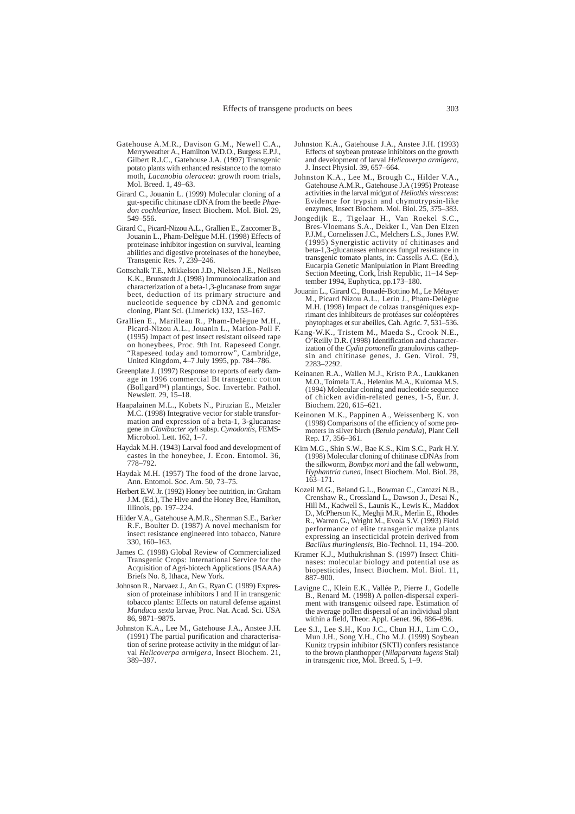- Gatehouse A.M.R., Davison G.M., Newell C.A., Merryweather A., Hamilton W.D.O., Burgess E.P.J., Gilbert R.J.C., Gatehouse J.A. (1997) Transgenic potato plants with enhanced resistance to the tomato moth, *Lacanobia oleracea*: growth room trials, Mol. Breed. 1, 49–63.
- Girard C., Jouanin L. (1999) Molecular cloning of a gut-specific chitinase cDNA from the beetle *Phaedon cochleariae,* Insect Biochem. Mol. Biol. 29, 549–556.
- Girard C., Picard-Nizou A.L., Grallien E., Zaccomer B., Jouanin L., Pham-Delègue M.H. (1998) Effects of proteinase inhibitor ingestion on survival, learning abilities and digestive proteinases of the honeybee, Transgenic Res*.* 7, 239–246.
- Gottschalk T.E., Mikkelsen J.D., Nielsen J.E., Neilsen K.K., Brunstedt J. (1998) Immunolocalization and characterization of a beta-1,3-glucanase from sugar beet, deduction of its primary structure and nucleotide sequence by cDNA and genomic cloning, Plant Sci. (Limerick) 132, 153–167.
- Grallien E., Marilleau R., Pham-Delègue M.H., Picard-Nizou A.L., Jouanin L., Marion-Poll F. (1995) Impact of pest insect resistant oilseed rape on honeybees, Proc. 9th Int. Rapeseed Congr. "Rapeseed today and tomorrow", Cambridge, United Kingdom, 4–7 July 1995, pp. 784–786.
- Greenplate J. (1997) Response to reports of early damage in 1996 commercial Bt transgenic cotton (Bollgard™) plantings, Soc. Invertebr. Pathol. Newslett. 29, 15–18.
- Haapalainen M.L., Kobets N., Piruzian E., Metzler M.C. (1998) Integrative vector for stable transformation and expression of a beta-1, 3-glucanase gene in *Clavibacter xyli* subsp. *Cynodontis*, FEMS-Microbiol. Lett. 162, 1–7.
- Haydak M.H. (1943) Larval food and development of castes in the honeybee, J. Econ. Entomol. 36, 778–792.
- Haydak M.H. (1957) The food of the drone larvae, Ann. Entomol. Soc. Am. 50, 73–75.
- Herbert E.W. Jr. (1992) Honey bee nutrition, in: Graham J.M. (Ed.), The Hive and the Honey Bee, Hamilton, Illinois, pp. 197–224.
- Hilder V.A., Gatehouse A.M.R., Sherman S.E., Barker R.F., Boulter D. (1987) A novel mechanism for insect resistance engineered into tobacco, Nature 330, 160–163.
- James C. (1998) Global Review of Commercialized Transgenic Crops: International Service for the Acquisition of Agri-biotech Applications (ISAAA) Briefs No. 8, Ithaca, New York.
- Johnson R., Narvaez J., An G., Ryan C. (1989) Expression of proteinase inhibitors I and II in transgenic tobacco plants: Effects on natural defense against *Manduca sexta* larvae, Proc. Nat. Acad. Sci. USA 86, 9871–9875.
- Johnston K.A., Lee M., Gatehouse J.A., Anstee J.H. (1991) The partial purification and characterisation of serine protease activity in the midgut of larval *Helicoverpa armigera,* Insect Biochem. 21, 389–397.
- Johnston K.A., Gatehouse J.A., Anstee J.H. (1993) Effects of soybean protease inhibitors on the growth and development of larval *Helicoverpa armigera,* J. Insect Physiol. 39, 657–664.
- Johnston K.A., Lee M., Brough C., Hilder V.A., Gatehouse A.M.R., Gatehouse J.A (1995) Protease activities in the larval midgut of *Heliothis virescens*: Evidence for trypsin and chymotrypsin-like enzymes, Insect Biochem. Mol. Biol. 25, 375–383.
- Jongedijk E., Tigelaar H., Van Roekel S.C., Bres-Vloemans S.A., Dekker I., Van Den Elzen P.J.M., Cornelissen J.C., Melchers L.S., Jones P.W. (1995) Synergistic activity of chitinases and beta-1,3-glucanases enhances fungal resistance in transgenic tomato plants, in: Cassells A.C. (Ed.), Eucarpia Genetic Manipulation in Plant Breeding Section Meeting, Cork, Irish Republic, 11–14 September 1994, Euphytica, pp.173–180.
- Jouanin L., Girard C., Bonadé-Bottino M., Le Métayer M., Picard Nizou A.L., Lerin J., Pham-Delègue M.H. (1998) Impact de colzas transgéniques exprimant des inhibiteurs de protéases sur coléoptères phytophages et sur abeilles, Cah. Agric. 7, 531–536.
- Kang-W.K., Tristem M., Maeda S., Crook N.E., O'Reilly D.R. (1998) Identification and characterization of the *Cydia pomonella* granulovirus cathepsin and chitinase genes, J. Gen. Virol. 79, 2283–2292.
- Keinanen R.A., Wallen M.J., Kristo P.A., Laukkanen M.O., Toimela T.A., Helenius M.A., Kulomaa M.S. (1994) Molecular cloning and nucleotide sequence of chicken avidin-related genes, 1-5, Eur. J. Biochem. 220, 615–621.
- Keinonen M.K., Pappinen A., Weissenberg K. von (1998) Comparisons of the efficiency of some promoters in silver birch (*Betula pendula*), Plant Cell Rep. 17, 356–361.
- Kim M.G., Shin S.W., Bae K.S., Kim S.C., Park H.Y. (1998) Molecular cloning of chitinase cDNAs from the silkworm, *Bombyx mori* and the fall webworm, *Hyphantria cunea,* Insect Biochem. Mol. Biol. 28, 163–171.
- Kozeil M.G., Beland G.L., Bowman C., Carozzi N.B., Crenshaw R., Crossland L., Dawson J., Desai N., Hill M., Kadwell S., Launis K., Lewis K., Maddox D., McPherson K., Meghji M.R., Merlin E., Rhodes R., Warren G., Wright M., Evola S.V. (1993) Field performance of elite transgenic maize plants expressing an insecticidal protein derived from *Bacillus thuringiensis*, Bio-Technol. 11, 194–200.
- Kramer K.J., Muthukrishnan S. (1997) Insect Chitinases: molecular biology and potential use as biopesticides, Insect Biochem. Mol. Biol. 11, 887–900.
- Lavigne C., Klein E.K., Vallée P., Pierre J., Godelle B., Renard M. (1998) A pollen-dispersal experiment with transgenic oilseed rape. Estimation of the average pollen dispersal of an individual plant within a field, Theor. Appl. Genet. 96, 886–896.
- Lee S.I., Lee S.H., Koo J.C., Chun H.J., Lim C.O., Mun J.H., Song Y.H., Cho M.J. (1999) Soybean Kunitz trypsin inhibitor (SKTI) confers resistance to the brown planthopper (*Nilaparvata lugens* Stal) in transgenic rice, Mol. Breed. 5, 1–9.